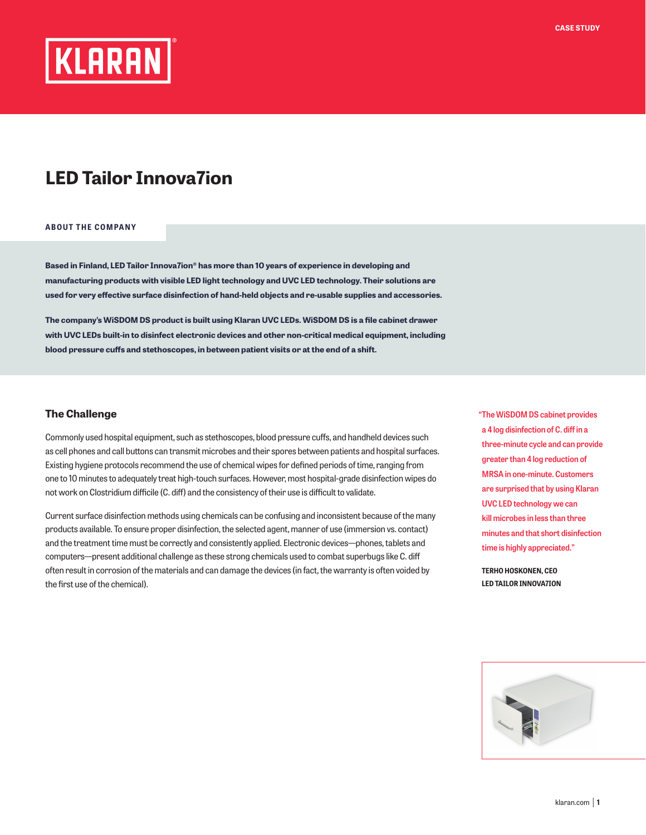

## **LED Tailor Innova7ion**

## **ABOUT THE COMPANY**

**Based in Finland, LED Tailor Innova7ion® has more than 10 years of experience in developing and manufacturing products with visible LED light technology and UVC LED technology. Their solutions are used for very effective surface disinfection of hand-held objects and re-usable supplies and accessories.**

**The company's WiSDOM DS product is built using Klaran UVC LEDs. WiSDOM DS is a file cabinet drawer with UVC LEDs built-in to disinfect electronic devices and other non-critical medical equipment, including blood pressure cuffs and stethoscopes, in between patient visits or at the end of a shift.** 

## **The Challenge**

Commonly used hospital equipment, such as stethoscopes, blood pressure cuffs, and handheld devices such as cell phones and call buttons can transmit microbes and their spores between patients and hospital surfaces. Existing hygiene protocols recommend the use of chemical wipes for defined periods of time, ranging from one to 10 minutes to adequately treat high-touch surfaces. However, most hospital-grade disinfection wipes do not work on Clostridium difficile (C. diff) and the consistency of their use is difficult to validate.

Current surface disinfection methods using chemicals can be confusing and inconsistent because of the many products available. To ensure proper disinfection, the selected agent, manner of use (immersion vs. contact) and the treatment time must be correctly and consistently applied. Electronic devices—phones, tablets and computers—present additional challenge as these strong chemicals used to combat superbugs like C. diff often result in corrosion of the materials and can damage the devices (in fact, the warranty is often voided by the first use of the chemical).

**"The WiSDOM DS cabinet provides a 4 log disinfection of C. diff in a three-minute cycle and can provide greater than 4 log reduction of MRSA in one-minute. Customers are surprised that by using Klaran UVC LED technology we can kill microbes in less than three minutes and that short disinfection time is highly appreciated."** 

 **TERHO HOSKONEN, CEO LED TAILOR INNOVA7ION**